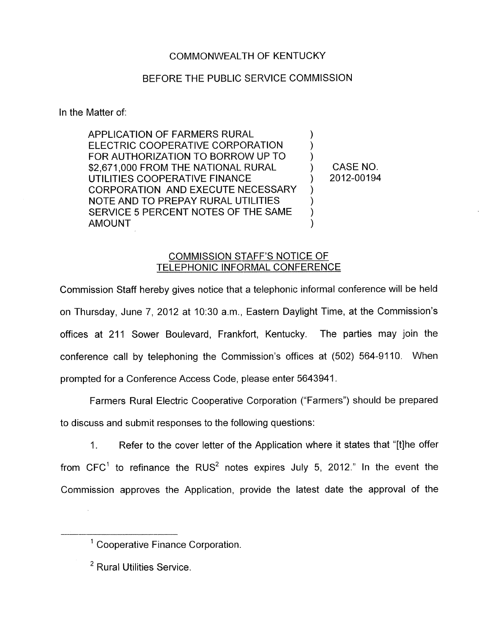## COMMONWEALTH OF KENTUCKY

## BEFORE THE PUBLIC SERVICE COMMISSION

In the Matter of:

APPLICATION OF FARMERS RURAL ELECTRIC COOPERATIVE CORPORATION FOR AUTHORIZATION TO BORROW UP TO \$2,671,000 FROM THE NATIONAL RURAL UTILITIES COOPERATIVE FINANCE CORPORATION AND EXECUTE NECESSARY NOTE AND TO PREPAY RURAL UTILITIES SERVICE 5 PERCENT NOTES OF THE SAME AMOUNT  $\frac{1}{2}$ )  $\overline{)}$  $\sum_{i=1}^{n}$ ) ) )

CASE NO. ) 2012-00194

## COMMISSION STAFF'S NOTICE OF TELEPHONIC INFORMAL CONFERENCE

Commission Staff hereby gives notice that a telephonic informal conference will be held on Thursday, June 7, 2012 at 10:30 a.m., Eastern Daylight Time, at the Commission's offices at 211 Sower Boulevard, Frankfort, Kentucky. The parties may join the conference call by telephoning the Commission's offices at (502) 564-9110. When prompted for a Conference Access Code, please enter 5643941

Farmers Rural Electric Cooperative Corporation ("Farmers") should be prepared to discuss and submit responses to the following questions:

1. Refer to the cover letter of the Application where it states that "[tlhe offer from  $CFC<sup>1</sup>$  to refinance the RUS<sup>2</sup> notes expires July 5, 2012." In the event the Commission approves the Application, provide the latest date the approval of the

<sup>&#</sup>x27; Cooperative Finance Corporation.

<sup>&</sup>lt;sup>2</sup> Rural Utilities Service.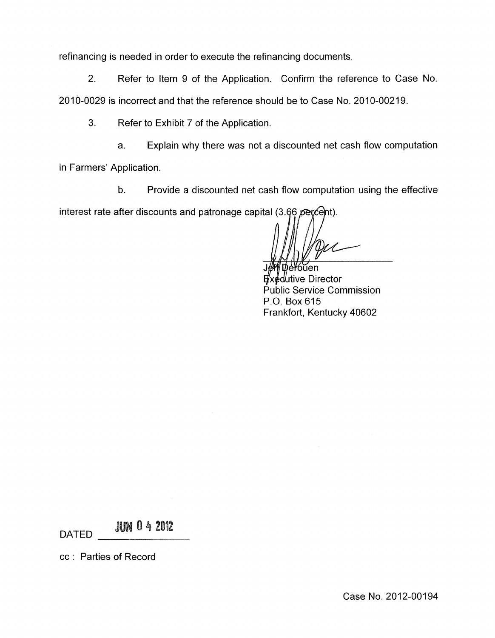refinancing is needed in order to execute the refinancing documents.

2. Refer to Item 9 of the Application. Confirm the reference to Case No. 2010-0029 is incorrect and that the reference should be to Case No. 2010-00219.

**3.** Refer to Exhibit 7 of the Application.

a. Explain why there was not a discounted net cash flow computation

in Farmers' Application.

b. Provide a discounted net cash flow computation using the effective

interest rate after discounts and patronage capital (3.66 percent).

∕oŭen

dutive Director Public Service Commission P.O. Box 615 Frankfort, Kentucky 40602

**JUN 0 4 2012 DATED** 

cc : Parties of Record